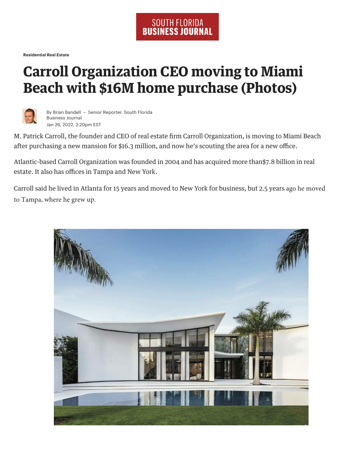**Residential Real Estate**

## **Carroll Organization CEO moving to Miami Beach with \$16M home purchase (Photos)**



By Brian Bandell – Senior Reporter, South Florida Business Journal Jan 26, 2022, 2:20pm EST

M. Patrick Carroll, the founder and CEO of real estate firm Carroll Organization, is moving to Miami Beach after purchasing a new mansion for \$16.3 million, and now he's scouting the area for a new office.

Atlantic-based Carroll Organization was founded in 2004 and has acquired more than\$7.8 billion in real estate. It also has offices in Tampa and New York.

Carroll said he lived in Atlanta for 15 years and moved to New York for business, but 2.5 years ago he moved to Tampa, where he grew up.

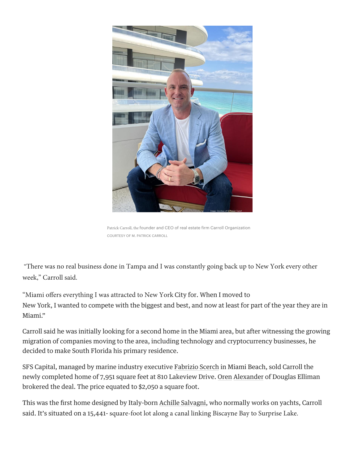

Patrick Carroll, the founder and CEO of real estate firm Carroll Organization COURTESY OF M. PATRICK CARROLL

"There was no real business done in Tampa and I was constantly going back up to New York every other week," Carroll said.

"Miami offers everything I was attracted to New York City for. When I moved to New York, I wanted to compete with the biggest and best, and now at least for part of the year they are in Miami."

Carroll said he was initially looking for a second home in the Miami area, but after witnessing the growing migration of companies moving to the area, including technology and cryptocurrency businesses, he decided to make South Florida his primary residence.

SFS Capital, managed by marine industry executive Fabrizio Scerch in Miami Beach, sold Carroll the newly completed home of 7,951 square feet at 810 Lakeview Drive. Oren Alexander of Douglas Elliman brokered the deal. The price equated to \$2,050 a square foot.

This was the first home designed by Italy-born Achille Salvagni, who normally works on yachts, Carroll said. It's situated on a 15,441- square-foot lot along a canal linking Biscayne Bay to Surprise Lake.